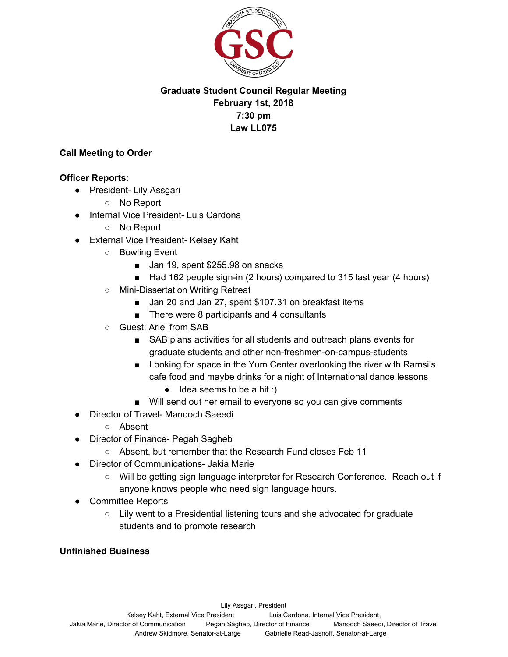

# **Graduate Student Council Regular Meeting February 1st, 2018 7:30 pm Law LL075**

### **Call Meeting to Order**

### **Officer Reports:**

- President- Lily Assgari
	- No Report
- Internal Vice President- Luis Cardona
	- No Report
- External Vice President- Kelsey Kaht
	- Bowling Event
		- Jan 19, spent \$255.98 on snacks
		- Had 162 people sign-in (2 hours) compared to 315 last year (4 hours)
	- Mini-Dissertation Writing Retreat
		- Jan 20 and Jan 27, spent \$107.31 on breakfast items
		- There were 8 participants and 4 consultants
	- Guest: Ariel from SAB
		- SAB plans activities for all students and outreach plans events for graduate students and other non-freshmen-on-campus-students
		- Looking for space in the Yum Center overlooking the river with Ramsi's cafe food and maybe drinks for a night of International dance lessons
			- $\bullet$  Idea seems to be a hit :)
		- Will send out her email to everyone so you can give comments
- Director of Travel- Manooch Saeedi
	- Absent
- Director of Finance- Pegah Sagheb
	- Absent, but remember that the Research Fund closes Feb 11
- Director of Communications- Jakia Marie
	- Will be getting sign language interpreter for Research Conference. Reach out if anyone knows people who need sign language hours.
- **Committee Reports** 
	- Lily went to a Presidential listening tours and she advocated for graduate students and to promote research

## **Unfinished Business**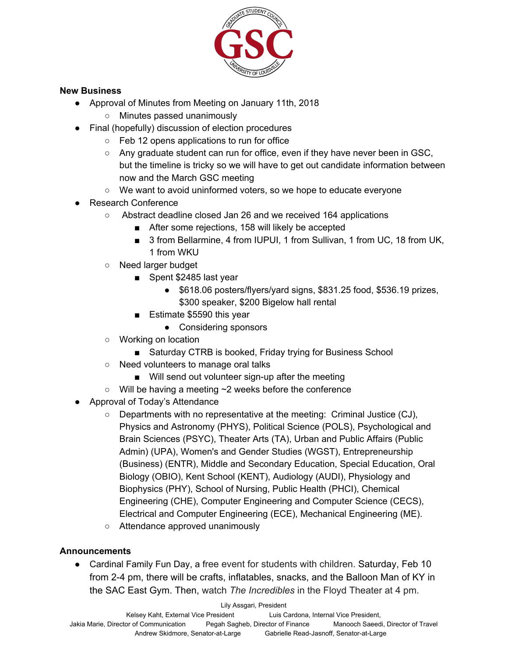

#### **New Business**

- Approval of Minutes from Meeting on January 11th, 2018
	- Minutes passed unanimously
- Final (hopefully) discussion of election procedures
	- Feb 12 opens applications to run for office
	- $\circ$  Any graduate student can run for office, even if they have never been in GSC, but the timeline is tricky so we will have to get out candidate information between now and the March GSC meeting
	- $\circ$  We want to avoid uninformed voters, so we hope to educate everyone
- Research Conference
	- Abstract deadline closed Jan 26 and we received 164 applications
		- After some rejections, 158 will likely be accepted
		- 3 from Bellarmine, 4 from IUPUI, 1 from Sullivan, 1 from UC, 18 from UK, 1 from WKU
	- Need larger budget
		- Spent \$2485 last year
			- \$618.06 posters/flyers/yard signs, \$831.25 food, \$536.19 prizes, \$300 speaker, \$200 Bigelow hall rental
		- Estimate \$5590 this year
			- Considering sponsors
	- Working on location
		- Saturday CTRB is booked, Friday trying for Business School
	- Need volunteers to manage oral talks
		- Will send out volunteer sign-up after the meeting
	- Will be having a meeting ~2 weeks before the conference
- Approval of Today's Attendance
	- $\circ$  Departments with no representative at the meeting: Criminal Justice (CJ), Physics and Astronomy (PHYS), Political Science (POLS), Psychological and Brain Sciences (PSYC), Theater Arts (TA), Urban and Public Affairs (Public Admin) (UPA), Women's and Gender Studies (WGST), Entrepreneurship (Business) (ENTR), Middle and Secondary Education, Special Education, Oral Biology (OBIO), Kent School (KENT), Audiology (AUDI), Physiology and Biophysics (PHY), School of Nursing, Public Health (PHCI), Chemical Engineering (CHE), Computer Engineering and Computer Science (CECS), Electrical and Computer Engineering (ECE), Mechanical Engineering (ME).
	- Attendance approved unanimously

#### **Announcements**

● Cardinal Family Fun Day, a free event for students with children. Saturday, Feb 10 from 2-4 pm, there will be crafts, inflatables, snacks, and the Balloon Man of KY in the SAC East Gym. Then, watch *The Incredibles* in the Floyd Theater at 4 pm.